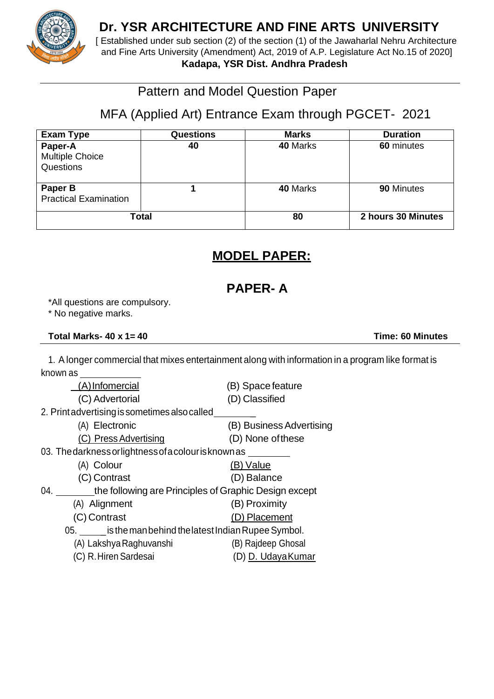

## **Dr. YSR ARCHITECTURE AND FINE ARTS UNIVERSITY**

[ Established under sub section (2) of the section (1) of the Jawaharlal Nehru Architecture and Fine Arts University (Amendment) Act, 2019 of A.P. Legislature Act No.15 of 2020] **Kadapa, YSR Dist. Andhra Pradesh**

## Pattern and Model Question Paper

# MFA (Applied Art) Entrance Exam through PGCET- 2021

| Exam Type                                      | <b>Questions</b> | <b>Marks</b> | <b>Duration</b>    |
|------------------------------------------------|------------------|--------------|--------------------|
| Paper-A<br><b>Multiple Choice</b><br>Questions | 40               | 40 Marks     | 60 minutes         |
| Paper B<br><b>Practical Examination</b>        |                  | 40 Marks     | 90 Minutes         |
|                                                | <b>Total</b>     | 80           | 2 hours 30 Minutes |

# **MODEL PAPER:**

## **PAPER- A**

\*All questions are compulsory.

\* No negative marks.

### **Total Marks- 40 x 1= 40 Time: 60 Minutes**

1. A longer commercial that mixes entertainment along with information in a program like format is known as

| (A)Infomercial                                               | (B) Space feature        |  |
|--------------------------------------------------------------|--------------------------|--|
| (C) Advertorial                                              | (D) Classified           |  |
| 2. Print advertising is sometimes also called                |                          |  |
| (A) Electronic                                               | (B) Business Advertising |  |
| (C) Press Advertising                                        | (D) None of these        |  |
| 03. The darkness or lightness of a colour is known as        |                          |  |
| (A) Colour                                                   | (B) Value                |  |
| (C) Contrast                                                 | (D) Balance              |  |
| 04.<br>the following are Principles of Graphic Design except |                          |  |
| (A) Alignment                                                | (B) Proximity            |  |
| (C) Contrast                                                 | (D) Placement            |  |
| 05. _____ is the man behind the latest Indian Rupee Symbol.  |                          |  |
| (A) Lakshya Raghuvanshi                                      | (B) Rajdeep Ghosal       |  |
| (C) R. Hiren Sardesai                                        | (D) D. Udaya Kumar       |  |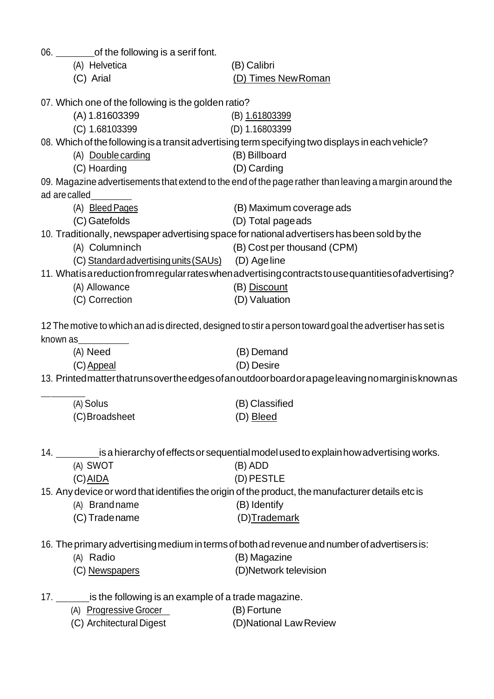| (A) Helvetica<br>(B) Calibri<br>(C) Arial<br>(D) Times New Roman<br>07. Which one of the following is the golden ratio?<br>(A) 1.81603399<br>(B) 1.61803399<br>(C) 1.68103399<br>(D) 1.16803399<br>08. Which of the following is a transit advertising term specifying two displays in each vehicle?<br>(A) Double carding<br>(B) Billboard<br>(D) Carding<br>(C) Hoarding<br>09. Magazine advertisements that extend to the end of the page rather than leaving a margin around the<br>ad are called<br>(A) Bleed Pages<br>(B) Maximum coverage ads |  |  |  |  |  |
|------------------------------------------------------------------------------------------------------------------------------------------------------------------------------------------------------------------------------------------------------------------------------------------------------------------------------------------------------------------------------------------------------------------------------------------------------------------------------------------------------------------------------------------------------|--|--|--|--|--|
|                                                                                                                                                                                                                                                                                                                                                                                                                                                                                                                                                      |  |  |  |  |  |
|                                                                                                                                                                                                                                                                                                                                                                                                                                                                                                                                                      |  |  |  |  |  |
|                                                                                                                                                                                                                                                                                                                                                                                                                                                                                                                                                      |  |  |  |  |  |
|                                                                                                                                                                                                                                                                                                                                                                                                                                                                                                                                                      |  |  |  |  |  |
|                                                                                                                                                                                                                                                                                                                                                                                                                                                                                                                                                      |  |  |  |  |  |
|                                                                                                                                                                                                                                                                                                                                                                                                                                                                                                                                                      |  |  |  |  |  |
|                                                                                                                                                                                                                                                                                                                                                                                                                                                                                                                                                      |  |  |  |  |  |
|                                                                                                                                                                                                                                                                                                                                                                                                                                                                                                                                                      |  |  |  |  |  |
|                                                                                                                                                                                                                                                                                                                                                                                                                                                                                                                                                      |  |  |  |  |  |
|                                                                                                                                                                                                                                                                                                                                                                                                                                                                                                                                                      |  |  |  |  |  |
|                                                                                                                                                                                                                                                                                                                                                                                                                                                                                                                                                      |  |  |  |  |  |
|                                                                                                                                                                                                                                                                                                                                                                                                                                                                                                                                                      |  |  |  |  |  |
| (C) Gatefolds<br>(D) Total page ads                                                                                                                                                                                                                                                                                                                                                                                                                                                                                                                  |  |  |  |  |  |
| 10. Traditionally, newspaper advertising space for national advertisers has been sold by the<br>(A) Columninch                                                                                                                                                                                                                                                                                                                                                                                                                                       |  |  |  |  |  |
| (B) Cost per thousand (CPM)<br>(C) Standard advertising units (SAUs) (D) Age line                                                                                                                                                                                                                                                                                                                                                                                                                                                                    |  |  |  |  |  |
| 11. Whatis a reduction from regular rates when advertising contracts to use quantities of advertising?                                                                                                                                                                                                                                                                                                                                                                                                                                               |  |  |  |  |  |
| (A) Allowance<br>(B) Discount                                                                                                                                                                                                                                                                                                                                                                                                                                                                                                                        |  |  |  |  |  |
| (C) Correction<br>(D) Valuation                                                                                                                                                                                                                                                                                                                                                                                                                                                                                                                      |  |  |  |  |  |
|                                                                                                                                                                                                                                                                                                                                                                                                                                                                                                                                                      |  |  |  |  |  |
| 12 The motive to which an ad is directed, designed to stir a person toward goal the advertiser has set is                                                                                                                                                                                                                                                                                                                                                                                                                                            |  |  |  |  |  |
| known as                                                                                                                                                                                                                                                                                                                                                                                                                                                                                                                                             |  |  |  |  |  |
| (A) Need<br>(B) Demand                                                                                                                                                                                                                                                                                                                                                                                                                                                                                                                               |  |  |  |  |  |
| (C) Appeal<br>(D) Desire                                                                                                                                                                                                                                                                                                                                                                                                                                                                                                                             |  |  |  |  |  |
| 13. Printedmatterthatrunsovertheedgesofanoutdoorboardorapageleaving nomarginisknown as                                                                                                                                                                                                                                                                                                                                                                                                                                                               |  |  |  |  |  |
|                                                                                                                                                                                                                                                                                                                                                                                                                                                                                                                                                      |  |  |  |  |  |
| (A) Solus<br>(B) Classified                                                                                                                                                                                                                                                                                                                                                                                                                                                                                                                          |  |  |  |  |  |
| (C) Broadsheet<br>(D) Bleed                                                                                                                                                                                                                                                                                                                                                                                                                                                                                                                          |  |  |  |  |  |
|                                                                                                                                                                                                                                                                                                                                                                                                                                                                                                                                                      |  |  |  |  |  |
|                                                                                                                                                                                                                                                                                                                                                                                                                                                                                                                                                      |  |  |  |  |  |
| 14. ___________ is a hierarchy of effects or sequential model used to explain how advertising works.                                                                                                                                                                                                                                                                                                                                                                                                                                                 |  |  |  |  |  |
| (A) SWOT<br>$(B)$ ADD<br>(D) PESTLE                                                                                                                                                                                                                                                                                                                                                                                                                                                                                                                  |  |  |  |  |  |
| $(C)$ AIDA                                                                                                                                                                                                                                                                                                                                                                                                                                                                                                                                           |  |  |  |  |  |
| 15. Any device or word that identifies the origin of the product, the manufacturer details etc is<br>(B) Identify<br>(A) Brand name                                                                                                                                                                                                                                                                                                                                                                                                                  |  |  |  |  |  |
| (C) Tradename<br>(D)Trademark                                                                                                                                                                                                                                                                                                                                                                                                                                                                                                                        |  |  |  |  |  |
|                                                                                                                                                                                                                                                                                                                                                                                                                                                                                                                                                      |  |  |  |  |  |
| 16. The primary advertising medium in terms of both ad revenue and number of advertisers is:                                                                                                                                                                                                                                                                                                                                                                                                                                                         |  |  |  |  |  |
| (B) Magazine<br>(A) Radio                                                                                                                                                                                                                                                                                                                                                                                                                                                                                                                            |  |  |  |  |  |
| (D)Network television<br>(C) Newspapers                                                                                                                                                                                                                                                                                                                                                                                                                                                                                                              |  |  |  |  |  |
|                                                                                                                                                                                                                                                                                                                                                                                                                                                                                                                                                      |  |  |  |  |  |
| 17. is the following is an example of a trade magazine.                                                                                                                                                                                                                                                                                                                                                                                                                                                                                              |  |  |  |  |  |
| (A) Progressive Grocer<br>(B) Fortune                                                                                                                                                                                                                                                                                                                                                                                                                                                                                                                |  |  |  |  |  |
| (D)National Law Review<br>(C) Architectural Digest                                                                                                                                                                                                                                                                                                                                                                                                                                                                                                   |  |  |  |  |  |